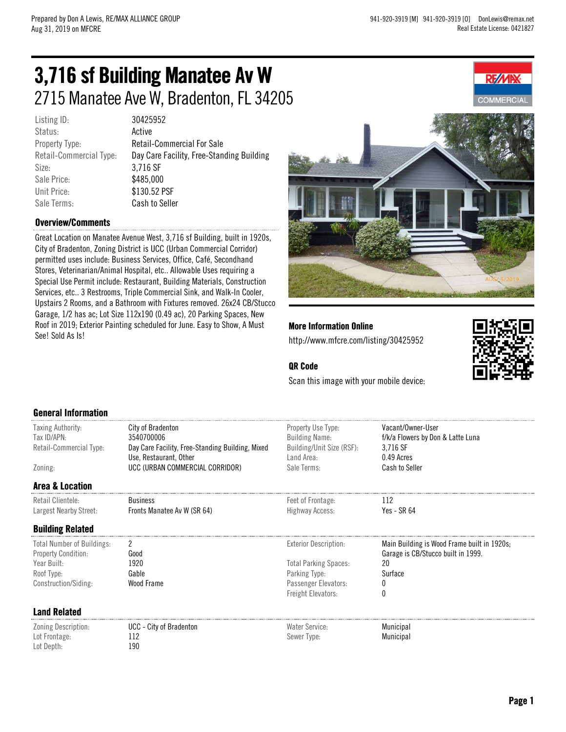**REZVIP** 

# 3,716 sf Building Manatee Av W 2715 Manatee Ave W, Bradenton, FL 34205

Listing ID: 30425952 Status: **Active** Size: 3,716 SF Sale Price: \$485,000 Unit Price: \$130.52 PSF Sale Terms: Cash to Seller

Property Type: Retail-Commercial For Sale Retail-Commercial Type: Day Care Facility, Free-Standing Building

#### Overview/Comments

Great Location on Manatee Avenue West, 3,716 sf Building, built in 1920s, City of Bradenton, Zoning District is UCC (Urban Commercial Corridor) permitted uses include: Business Services, Office, Café, Secondhand Stores, Veterinarian/Animal Hospital, etc.. Allowable Uses requiring a Special Use Permit include: Restaurant, Building Materials, Construction Services, etc.. 3 Restrooms, Triple Commercial Sink, and Walk-In Cooler, Upstairs 2 Rooms, and a Bathroom with Fixtures removed. 26x24 CB/Stucco Garage, 1/2 has ac; Lot Size 112x190 (0.49 ac), 20 Parking Spaces, New Roof in 2019; Exterior Painting scheduled for June. Easy to Show, A Must See! Sold As Is!



More Information Online http://www.mfcre.com/listing/30425952



#### QR Code

Scan this image with your mobile device:

#### General Information

| Taxing Authority:<br>Tax ID/APN:<br>Retail-Commercial Type:<br>Zoning: | City of Bradenton<br>3540700006<br>Day Care Facility, Free-Standing Building, Mixed<br>Use, Restaurant, Other<br>UCC (URBAN COMMERCIAL CORRIDOR) | Property Use Type:<br><b>Building Name:</b><br>Building/Unit Size (RSF):<br>Land Area:<br>Sale Terms: | Vacant/Owner-User<br>f/k/a Flowers by Don & Latte Luna<br>3,716 SF<br>0.49 Acres<br>Cash to Seller |
|------------------------------------------------------------------------|--------------------------------------------------------------------------------------------------------------------------------------------------|-------------------------------------------------------------------------------------------------------|----------------------------------------------------------------------------------------------------|
|                                                                        |                                                                                                                                                  |                                                                                                       |                                                                                                    |
| <b>Area &amp; Location</b><br>Retail Clientele:                        | <b>Business</b>                                                                                                                                  | Feet of Frontage:                                                                                     | 112                                                                                                |
| Largest Nearby Street:                                                 | Fronts Manatee Av W (SR 64)                                                                                                                      | Highway Access:                                                                                       | Yes - SR $64$                                                                                      |
| <b>Building Related</b>                                                |                                                                                                                                                  |                                                                                                       |                                                                                                    |
| <b>Total Number of Buildings:</b><br><b>Property Condition:</b>        | 2                                                                                                                                                | <b>Exterior Description:</b>                                                                          | Main Building is Wood Frame built in 1920s;<br>Garage is CB/Stucco built in 1999.                  |
| Year Built:                                                            | Good<br>1920                                                                                                                                     | <b>Total Parking Spaces:</b>                                                                          | 20                                                                                                 |
| Roof Type:                                                             | Gable                                                                                                                                            | Parking Type:                                                                                         | Surface                                                                                            |
| Construction/Siding:                                                   | Wood Frame                                                                                                                                       | Passenger Elevators:                                                                                  |                                                                                                    |
|                                                                        |                                                                                                                                                  | Freight Elevators:                                                                                    | 0                                                                                                  |
| <b>Land Related</b>                                                    |                                                                                                                                                  |                                                                                                       |                                                                                                    |
| Zoning Description:                                                    | UCC - City of Bradenton                                                                                                                          | Water Service:                                                                                        | Municipal                                                                                          |
| Lot Frontage:                                                          | 112                                                                                                                                              | Sewer Type:                                                                                           | Municipal                                                                                          |
| Lot Depth:                                                             | 190                                                                                                                                              |                                                                                                       |                                                                                                    |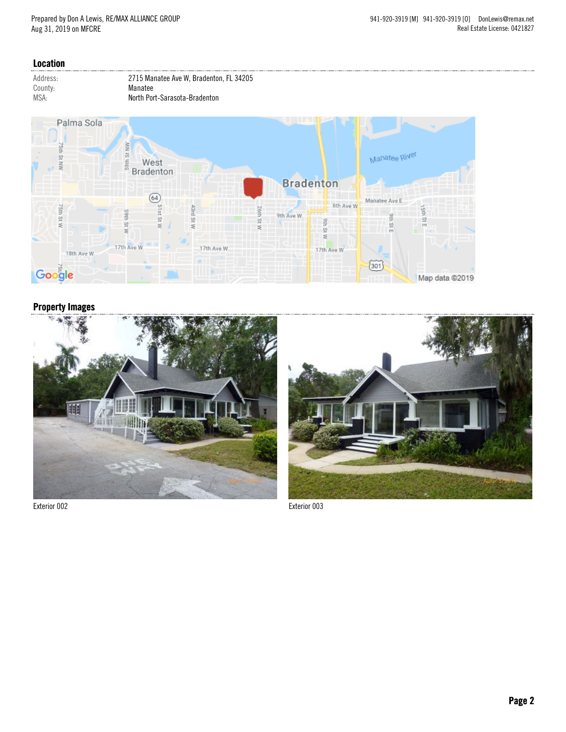#### Location





### Property Images



Exterior 002 Exterior 003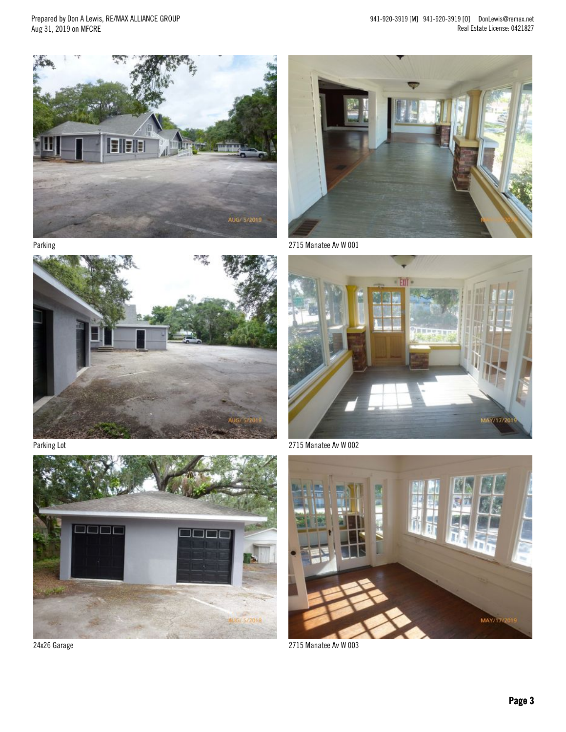Prepared by Don A Lewis, RE/MAX ALLIANCE GROUP Aug 31, 2019 on MFCRE

941-920-3919 [M] 941-920-3919 [O] DonLewis@remax.net Real Estate License: 0421827







Parking Lot



24x26 Garage



2715 Manatee Av W 001



2715 Manatee Av W 002



2715 Manatee Av W 003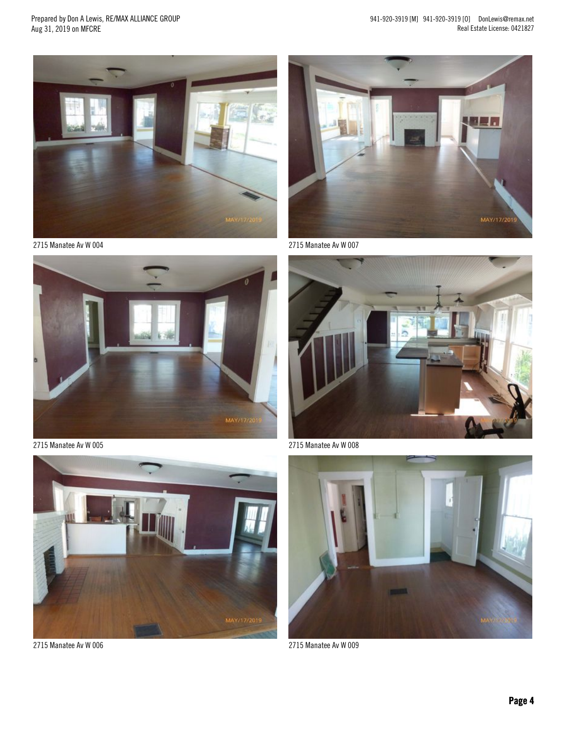Prepared by Don A Lewis, RE/MAX ALLIANCE GROUP Aug 31, 2019 on MFCRE

941-920-3919 [M] 941-920-3919 [O] DonLewis@remax.net Real Estate License: 0421827



2715 Manatee Av W 004



2715 Manatee Av W 005



2715 Manatee Av W 006



2715 Manatee Av W 007



2715 Manatee Av W 008



2715 Manatee Av W 009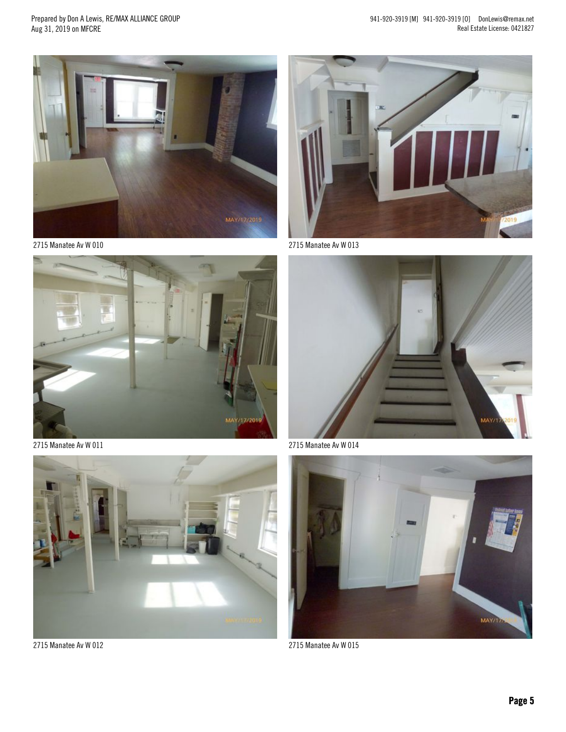Prepared by Don A Lewis, RE/MAX ALLIANCE GROUP Aug 31, 2019 on MFCRE



2715 Manatee Av W 010



2715 Manatee Av W 011



2715 Manatee Av W 012



2715 Manatee Av W 013



2715 Manatee Av W 014



2715 Manatee Av W 015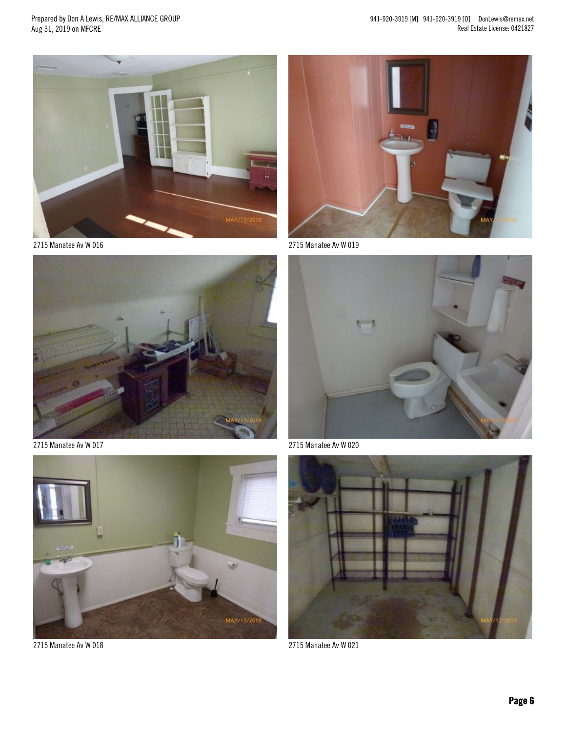941-920-3919 [M] 941-920-3919 [O] DonLewis@remax.net Real Estate License: 0421827

Prepared by Don A Lewis, RE/MAX ALLIANCE GROUP Aug 31, 2019 on MFCRE



2715 Manatee Av W 016



2715 Manatee Av W 017



2715 Manatee Av W 018



2715 Manatee Av W 019



2715 Manatee Av W 020



2715 Manatee Av W 021